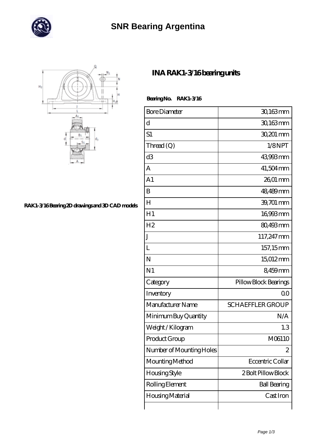

## **[SNR Bearing Argentina](https://directorio-rss.com)**



**[RAK1-3/16 Bearing 2D drawings and 3D CAD models](https://directorio-rss.com/pic-400828.html)**

## **[INA RAK1-3/16 bearing units](https://directorio-rss.com/by-400828-ina-rak1-3-16-bearing-units.html)**

 **Bearing No. RAK1-3/16**

| <b>Bore Diameter</b>     | 30,163mm                |
|--------------------------|-------------------------|
| d                        | 30,163mm                |
| S1                       | 30,201 mm               |
| Thread (Q)               | 1/8NPT                  |
| d3                       | 43,993mm                |
| A                        | 41,504 mm               |
| A <sub>1</sub>           | 26,01 mm                |
| B                        | 48,489mm                |
| $H_{\rm}$                | 39,701 mm               |
| H1                       | 16993mm                 |
| H <sub>2</sub>           | 80,493mm                |
| J                        | 117,247 mm              |
| L                        | 157,15mm                |
| N                        | 15012mm                 |
| N <sub>1</sub>           | 8459mm                  |
| Category                 | Pillow Block Bearings   |
| Inventory                | 0 <sup>0</sup>          |
| Manufacturer Name        | <b>SCHAEFFLER GROUP</b> |
| Minimum Buy Quantity     | N/A                     |
| Weight / Kilogram        | 1.3                     |
| Product Group            | M06110                  |
| Number of Mounting Holes | 2                       |
| Mounting Method          | Eccentric Collar        |
| Housing Style            | 2 Bolt Pillow Block     |
| Rolling Element          | <b>Ball Bearing</b>     |
| Housing Material         | Cast Iron               |
|                          |                         |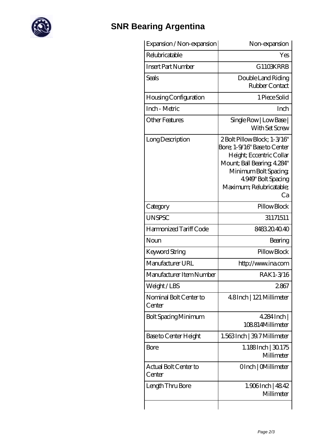

## **[SNR Bearing Argentina](https://directorio-rss.com)**

| Expansion / Non-expansion        | Non-expansion                                                                                                                                                                                           |
|----------------------------------|---------------------------------------------------------------------------------------------------------------------------------------------------------------------------------------------------------|
| Relubricatable                   | Yes                                                                                                                                                                                                     |
| <b>Insert Part Number</b>        | G1103KRRB                                                                                                                                                                                               |
| Seals                            | Double Land Riding<br>Rubber Contact                                                                                                                                                                    |
| Housing Configuration            | 1 Piece Solid                                                                                                                                                                                           |
| Inch - Metric                    | Inch                                                                                                                                                                                                    |
| Other Features                   | Single Row   Low Base  <br>With Set Screw                                                                                                                                                               |
| Long Description                 | 2Bolt Pillow Block; 1-3/16"<br>Bore; 1-9/16" Base to Center<br>Height; Eccentric Collar<br>Mount; Ball Bearing, 4.284"<br>Minimum Bolt Spacing<br>4.949" Bolt Spacing<br>Maximum; Relubricatable;<br>Ca |
| Category                         | Pillow Block                                                                                                                                                                                            |
| <b>UNSPSC</b>                    | 31171511                                                                                                                                                                                                |
| Harmonized Tariff Code           | 8483204040                                                                                                                                                                                              |
| Noun                             | Bearing                                                                                                                                                                                                 |
| <b>Keyword String</b>            | Pillow Block                                                                                                                                                                                            |
| Manufacturer URL                 | http://www.ina.com                                                                                                                                                                                      |
| Manufacturer Item Number         | RAK1-3/16                                                                                                                                                                                               |
| Weight/LBS                       | 2867                                                                                                                                                                                                    |
| Nominal Bolt Center to<br>Center | 4.8Inch   121 Millimeter                                                                                                                                                                                |
| <b>Bolt Spacing Minimum</b>      | $4284$ Inch                                                                                                                                                                                             |
|                                  | 108814Millimeter                                                                                                                                                                                        |
| Base to Center Height            | 1.563 Inch   39.7 Millimeter                                                                                                                                                                            |
| <b>Bore</b>                      | $1.188$ Inch $ 30175$<br>Millimeter                                                                                                                                                                     |
| Actual Bolt Center to<br>Center  | OInch   CMillimeter                                                                                                                                                                                     |